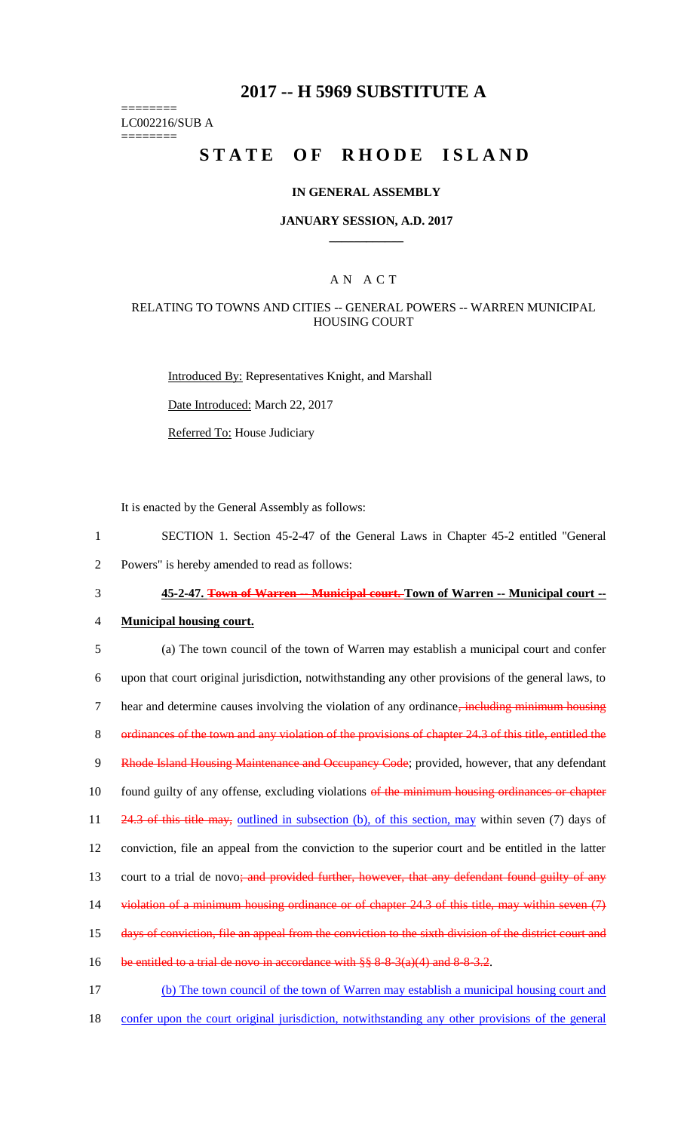# **2017 -- H 5969 SUBSTITUTE A**

======== LC002216/SUB A

========

# STATE OF RHODE ISLAND

### **IN GENERAL ASSEMBLY**

#### **JANUARY SESSION, A.D. 2017 \_\_\_\_\_\_\_\_\_\_\_\_**

### A N A C T

### RELATING TO TOWNS AND CITIES -- GENERAL POWERS -- WARREN MUNICIPAL HOUSING COURT

Introduced By: Representatives Knight, and Marshall

Date Introduced: March 22, 2017

Referred To: House Judiciary

It is enacted by the General Assembly as follows:

- 1 SECTION 1. Section 45-2-47 of the General Laws in Chapter 45-2 entitled "General
- 2 Powers" is hereby amended to read as follows:

3 **45-2-47. Town of Warren -- Municipal court. Town of Warren -- Municipal court --**

#### 4 **Municipal housing court.**

5 (a) The town council of the town of Warren may establish a municipal court and confer 6 upon that court original jurisdiction, notwithstanding any other provisions of the general laws, to 7 hear and determine causes involving the violation of any ordinance, including minimum housing 8 ordinances of the town and any violation of the provisions of chapter 24.3 of this title, entitled the 9 Rhode Island Housing Maintenance and Occupancy Code; provided, however, that any defendant 10 found guilty of any offense, excluding violations of the minimum housing ordinances or chapter 11 24.3 of this title may, outlined in subsection (b), of this section, may within seven (7) days of 12 conviction, file an appeal from the conviction to the superior court and be entitled in the latter 13 court to a trial de novo; and provided further, however, that any defendant found guilty of any 14 violation of a minimum housing ordinance or of chapter 24.3 of this title, may within seven (7) 15 days of conviction, file an appeal from the conviction to the sixth division of the district court and 16 be entitled to a trial de novo in accordance with  $\S$ § 8-8-3(a)(4) and 8-8-3.2. 17 (b) The town council of the town of Warren may establish a municipal housing court and

- 
- 18 confer upon the court original jurisdiction, notwithstanding any other provisions of the general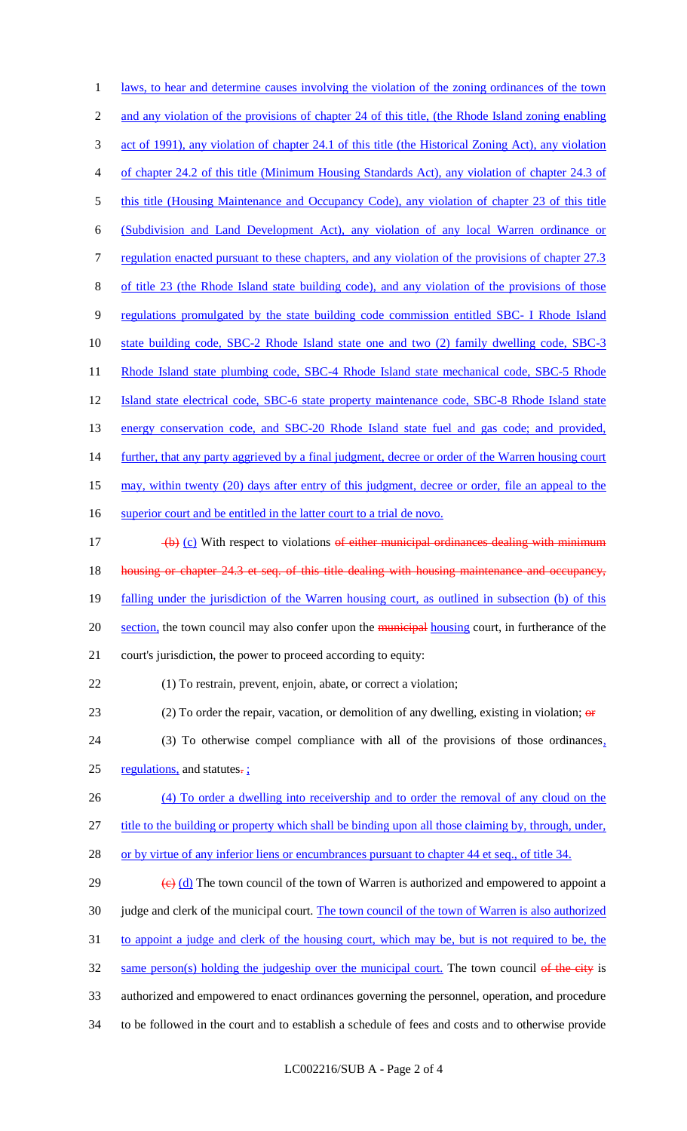1 laws, to hear and determine causes involving the violation of the zoning ordinances of the town 2 and any violation of the provisions of chapter 24 of this title, (the Rhode Island zoning enabling 3 act of 1991), any violation of chapter 24.1 of this title (the Historical Zoning Act), any violation 4 of chapter 24.2 of this title (Minimum Housing Standards Act), any violation of chapter 24.3 of 5 this title (Housing Maintenance and Occupancy Code), any violation of chapter 23 of this title 6 (Subdivision and Land Development Act), any violation of any local Warren ordinance or 7 regulation enacted pursuant to these chapters, and any violation of the provisions of chapter 27.3 8 of title 23 (the Rhode Island state building code), and any violation of the provisions of those 9 regulations promulgated by the state building code commission entitled SBC- I Rhode Island 10 state building code, SBC-2 Rhode Island state one and two (2) family dwelling code, SBC-3 11 Rhode Island state plumbing code, SBC-4 Rhode Island state mechanical code, SBC-5 Rhode 12 Island state electrical code, SBC-6 state property maintenance code, SBC-8 Rhode Island state 13 energy conservation code, and SBC-20 Rhode Island state fuel and gas code; and provided, 14 further, that any party aggrieved by a final judgment, decree or order of the Warren housing court 15 may, within twenty (20) days after entry of this judgment, decree or order, file an appeal to the 16 superior court and be entitled in the latter court to a trial de novo.  $\left(\frac{b}{c}\right)$  (c) With respect to violations of either municipal ordinances dealing with minimum 18 housing or chapter 24.3 et seq. of this title dealing with housing maintenance and occupancy, 19 falling under the jurisdiction of the Warren housing court, as outlined in subsection (b) of this 20 section, the town council may also confer upon the municipal housing court, in furtherance of the 21 court's jurisdiction, the power to proceed according to equity: 22 (1) To restrain, prevent, enjoin, abate, or correct a violation; 23 (2) To order the repair, vacation, or demolition of any dwelling, existing in violation;  $\theta$ 24 (3) To otherwise compel compliance with all of the provisions of those ordinances, 25 regulations, and statutes $\frac{1}{2}$ 26 (4) To order a dwelling into receivership and to order the removal of any cloud on the 27 title to the building or property which shall be binding upon all those claiming by, through, under, 28 or by virtue of any inferior liens or encumbrances pursuant to chapter 44 et seq., of title 34. 29  $\left(\frac{e}{d}\right)$  The town council of the town of Warren is authorized and empowered to appoint a 30 judge and clerk of the municipal court. The town council of the town of Warren is also authorized 31 to appoint a judge and clerk of the housing court, which may be, but is not required to be, the  $32$  same person(s) holding the judgeship over the municipal court. The town council of the city is 33 authorized and empowered to enact ordinances governing the personnel, operation, and procedure 34 to be followed in the court and to establish a schedule of fees and costs and to otherwise provide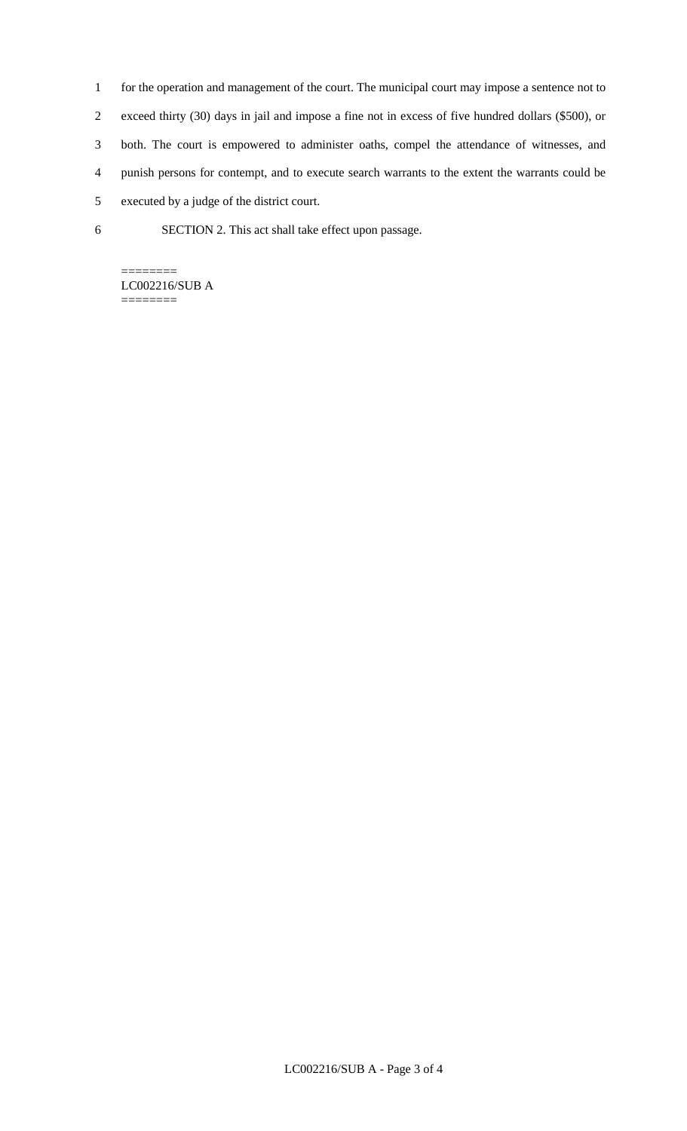- 1 for the operation and management of the court. The municipal court may impose a sentence not to 2 exceed thirty (30) days in jail and impose a fine not in excess of five hundred dollars (\$500), or 3 both. The court is empowered to administer oaths, compel the attendance of witnesses, and 4 punish persons for contempt, and to execute search warrants to the extent the warrants could be 5 executed by a judge of the district court.
- 6 SECTION 2. This act shall take effect upon passage.

======== LC002216/SUB A ========